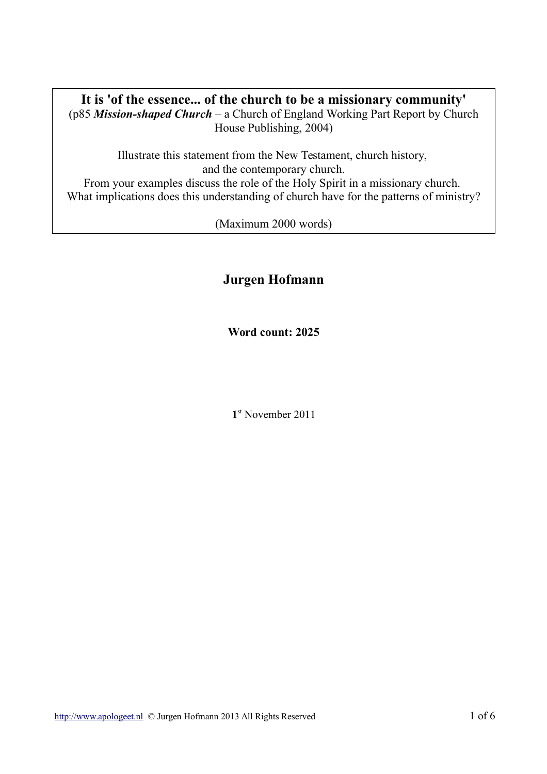# **It is 'of the essence... of the church to be a missionary community'**

(p85 *Mission-shaped Church* – a Church of England Working Part Report by Church House Publishing, 2004)

Illustrate this statement from the New Testament, church history, and the contemporary church. From your examples discuss the role of the Holy Spirit in a missionary church. What implications does this understanding of church have for the patterns of ministry?

(Maximum 2000 words)

# **Jurgen Hofmann**

**Word count: 2025**

**1** st November 2011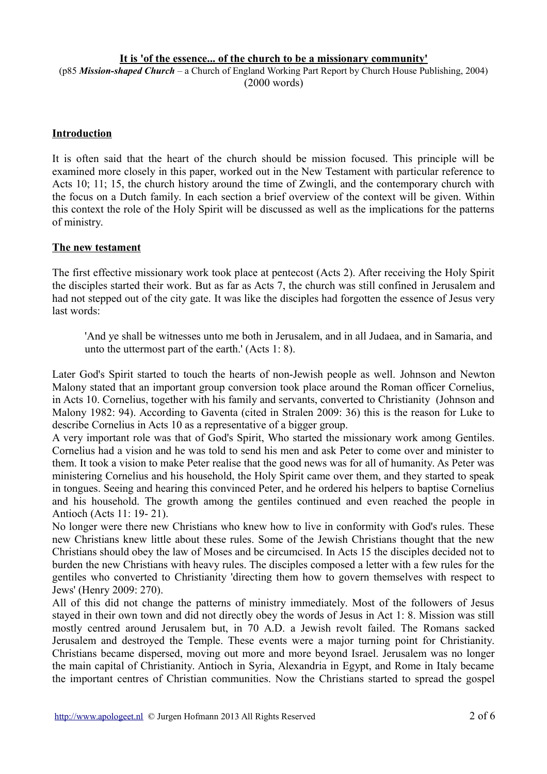## **It is 'of the essence... of the church to be a missionary community'**

(p85 *Mission-shaped Church* – a Church of England Working Part Report by Church House Publishing, 2004) (2000 words)

#### **Introduction**

It is often said that the heart of the church should be mission focused. This principle will be examined more closely in this paper, worked out in the New Testament with particular reference to Acts 10; 11; 15, the church history around the time of Zwingli, and the contemporary church with the focus on a Dutch family. In each section a brief overview of the context will be given. Within this context the role of the Holy Spirit will be discussed as well as the implications for the patterns of ministry.

#### **The new testament**

The first effective missionary work took place at pentecost (Acts 2). After receiving the Holy Spirit the disciples started their work. But as far as Acts 7, the church was still confined in Jerusalem and had not stepped out of the city gate. It was like the disciples had forgotten the essence of Jesus very last words:

'And ye shall be witnesses unto me both in Jerusalem, and in all Judaea, and in Samaria, and unto the uttermost part of the earth.' (Acts 1: 8).

Later God's Spirit started to touch the hearts of non-Jewish people as well. Johnson and Newton Malony stated that an important group conversion took place around the Roman officer Cornelius, in Acts 10. Cornelius, together with his family and servants, converted to Christianity (Johnson and Malony 1982: 94). According to Gaventa (cited in Stralen 2009: 36) this is the reason for Luke to describe Cornelius in Acts 10 as a representative of a bigger group.

A very important role was that of God's Spirit, Who started the missionary work among Gentiles. Cornelius had a vision and he was told to send his men and ask Peter to come over and minister to them. It took a vision to make Peter realise that the good news was for all of humanity. As Peter was ministering Cornelius and his household, the Holy Spirit came over them, and they started to speak in tongues. Seeing and hearing this convinced Peter, and he ordered his helpers to baptise Cornelius and his household. The growth among the gentiles continued and even reached the people in Antioch (Acts 11: 19- 21).

No longer were there new Christians who knew how to live in conformity with God's rules. These new Christians knew little about these rules. Some of the Jewish Christians thought that the new Christians should obey the law of Moses and be circumcised. In Acts 15 the disciples decided not to burden the new Christians with heavy rules. The disciples composed a letter with a few rules for the gentiles who converted to Christianity 'directing them how to govern themselves with respect to Jews' (Henry 2009: 270).

All of this did not change the patterns of ministry immediately. Most of the followers of Jesus stayed in their own town and did not directly obey the words of Jesus in Act 1: 8. Mission was still mostly centred around Jerusalem but, in 70 A.D. a Jewish revolt failed. The Romans sacked Jerusalem and destroyed the Temple. These events were a major turning point for Christianity. Christians became dispersed, moving out more and more beyond Israel. Jerusalem was no longer the main capital of Christianity. Antioch in Syria, Alexandria in Egypt, and Rome in Italy became the important centres of Christian communities. Now the Christians started to spread the gospel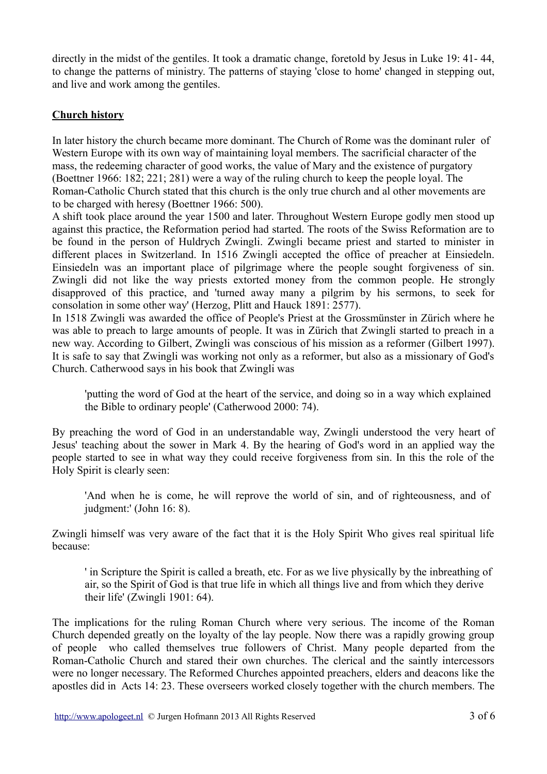directly in the midst of the gentiles. It took a dramatic change, foretold by Jesus in Luke 19: 41- 44, to change the patterns of ministry. The patterns of staying 'close to home' changed in stepping out, and live and work among the gentiles.

# **Church history**

In later history the church became more dominant. The Church of Rome was the dominant ruler of Western Europe with its own way of maintaining loyal members. The sacrificial character of the mass, the redeeming character of good works, the value of Mary and the existence of purgatory (Boettner 1966: 182; 221; 281) were a way of the ruling church to keep the people loyal. The Roman-Catholic Church stated that this church is the only true church and al other movements are to be charged with heresy (Boettner 1966: 500).

A shift took place around the year 1500 and later. Throughout Western Europe godly men stood up against this practice, the Reformation period had started. The roots of the Swiss Reformation are to be found in the person of Huldrych Zwingli. Zwingli became priest and started to minister in different places in Switzerland. In 1516 Zwingli accepted the office of preacher at Einsiedeln. Einsiedeln was an important place of pilgrimage where the people sought forgiveness of sin. Zwingli did not like the way priests extorted money from the common people. He strongly disapproved of this practice, and 'turned away many a pilgrim by his sermons, to seek for consolation in some other way' (Herzog, Plitt and Hauck 1891: 2577).

In 1518 Zwingli was awarded the office of People's Priest at the Grossmünster in Zürich where he was able to preach to large amounts of people. It was in Zürich that Zwingli started to preach in a new way. According to Gilbert, Zwingli was conscious of his mission as a reformer (Gilbert 1997). It is safe to say that Zwingli was working not only as a reformer, but also as a missionary of God's Church. Catherwood says in his book that Zwingli was

'putting the word of God at the heart of the service, and doing so in a way which explained the Bible to ordinary people' (Catherwood 2000: 74).

By preaching the word of God in an understandable way, Zwingli understood the very heart of Jesus' teaching about the sower in Mark 4. By the hearing of God's word in an applied way the people started to see in what way they could receive forgiveness from sin. In this the role of the Holy Spirit is clearly seen:

'And when he is come, he will reprove the world of sin, and of righteousness, and of judgment:' (John 16: 8).

Zwingli himself was very aware of the fact that it is the Holy Spirit Who gives real spiritual life because:

' in Scripture the Spirit is called a breath, etc. For as we live physically by the inbreathing of air, so the Spirit of God is that true life in which all things live and from which they derive their life' (Zwingli 1901: 64).

The implications for the ruling Roman Church where very serious. The income of the Roman Church depended greatly on the loyalty of the lay people. Now there was a rapidly growing group of people who called themselves true followers of Christ. Many people departed from the Roman-Catholic Church and stared their own churches. The clerical and the saintly intercessors were no longer necessary. The Reformed Churches appointed preachers, elders and deacons like the apostles did in Acts 14: 23. These overseers worked closely together with the church members. The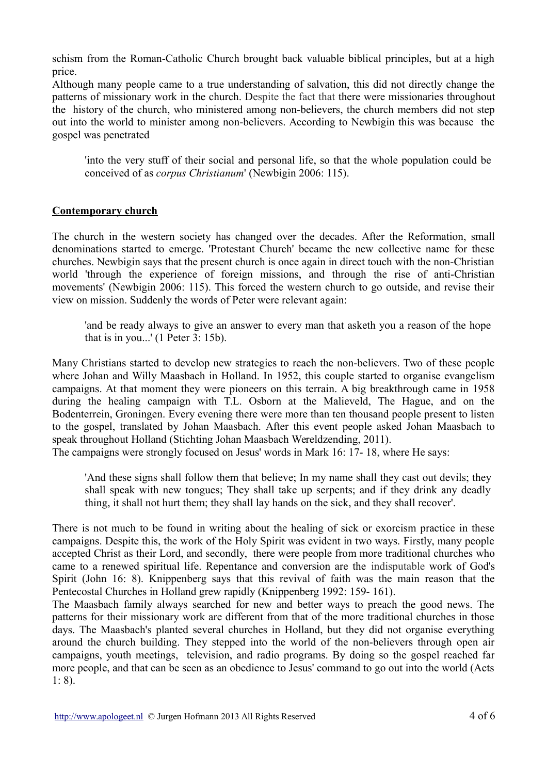schism from the Roman-Catholic Church brought back valuable biblical principles, but at a high price.

Although many people came to a true understanding of salvation, this did not directly change the patterns of missionary work in the church. Despite the fact that there were missionaries throughout the history of the church, who ministered among non-believers, the church members did not step out into the world to minister among non-believers. According to Newbigin this was because the gospel was penetrated

'into the very stuff of their social and personal life, so that the whole population could be conceived of as *corpus Christianum*' (Newbigin 2006: 115).

## **Contemporary church**

The church in the western society has changed over the decades. After the Reformation, small denominations started to emerge. 'Protestant Church' became the new collective name for these churches. Newbigin says that the present church is once again in direct touch with the non-Christian world 'through the experience of foreign missions, and through the rise of anti-Christian movements' (Newbigin 2006: 115). This forced the western church to go outside, and revise their view on mission. Suddenly the words of Peter were relevant again:

'and be ready always to give an answer to every man that asketh you a reason of the hope that is in you...' (1 Peter 3: 15b).

Many Christians started to develop new strategies to reach the non-believers. Two of these people where Johan and Willy Maasbach in Holland. In 1952, this couple started to organise evangelism campaigns. At that moment they were pioneers on this terrain. A big breakthrough came in 1958 during the healing campaign with T.L. Osborn at the Malieveld, The Hague, and on the Bodenterrein, Groningen. Every evening there were more than ten thousand people present to listen to the gospel, translated by Johan Maasbach. After this event people asked Johan Maasbach to speak throughout Holland (Stichting Johan Maasbach Wereldzending, 2011).

The campaigns were strongly focused on Jesus' words in Mark 16: 17- 18, where He says:

'And these signs shall follow them that believe; In my name shall they cast out devils; they shall speak with new tongues; They shall take up serpents; and if they drink any deadly thing, it shall not hurt them; they shall lay hands on the sick, and they shall recover'.

There is not much to be found in writing about the healing of sick or exorcism practice in these campaigns. Despite this, the work of the Holy Spirit was evident in two ways. Firstly, many people accepted Christ as their Lord, and secondly, there were people from more traditional churches who came to a renewed spiritual life. Repentance and conversion are the indisputable work of God's Spirit (John 16: 8). Knippenberg says that this revival of faith was the main reason that the Pentecostal Churches in Holland grew rapidly (Knippenberg 1992: 159- 161).

The Maasbach family always searched for new and better ways to preach the good news. The patterns for their missionary work are different from that of the more traditional churches in those days. The Maasbach's planted several churches in Holland, but they did not organise everything around the church building. They stepped into the world of the non-believers through open air campaigns, youth meetings, television, and radio programs. By doing so the gospel reached far more people, and that can be seen as an obedience to Jesus' command to go out into the world (Acts 1: 8).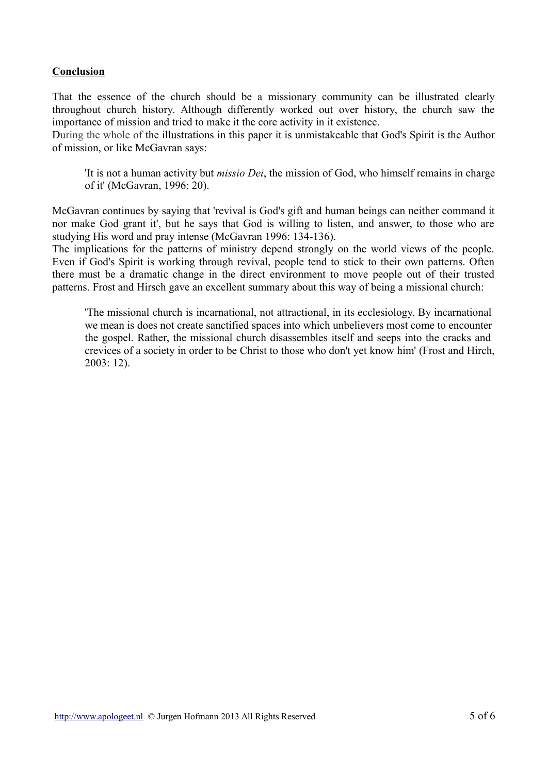# **Conclusion**

That the essence of the church should be a missionary community can be illustrated clearly throughout church history. Although differently worked out over history, the church saw the importance of mission and tried to make it the core activity in it existence.

During the whole of the illustrations in this paper it is unmistakeable that God's Spirit is the Author of mission, or like McGavran says:

'It is not a human activity but *missio Dei*, the mission of God, who himself remains in charge of it' (McGavran, 1996: 20).

McGavran continues by saying that 'revival is God's gift and human beings can neither command it nor make God grant it', but he says that God is willing to listen, and answer, to those who are studying His word and pray intense (McGavran 1996: 134-136).

The implications for the patterns of ministry depend strongly on the world views of the people. Even if God's Spirit is working through revival, people tend to stick to their own patterns. Often there must be a dramatic change in the direct environment to move people out of their trusted patterns. Frost and Hirsch gave an excellent summary about this way of being a missional church:

'The missional church is incarnational, not attractional, in its ecclesiology. By incarnational we mean is does not create sanctified spaces into which unbelievers most come to encounter the gospel. Rather, the missional church disassembles itself and seeps into the cracks and crevices of a society in order to be Christ to those who don't yet know him' (Frost and Hirch, 2003: 12).